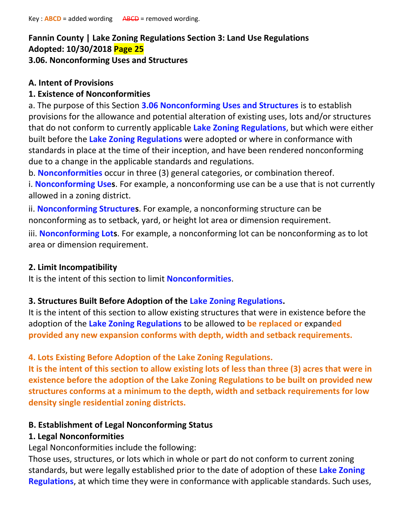# **Fannin County | Lake Zoning Regulations Section 3: Land Use Regulations Adopted: 10/30/2018 Page 25 3.06. Nonconforming Uses and Structures**

# **A. Intent of Provisions**

### **1. Existence of Nonconformities**

a. The purpose of this Section **3.06 Nonconforming Uses and Structures** is to establish provisions for the allowance and potential alteration of existing uses, lots and/or structures that do not conform to currently applicable **Lake Zoning Regulations**, but which were either built before the **Lake Zoning Regulations** were adopted or where in conformance with standards in place at the time of their inception, and have been rendered nonconforming due to a change in the applicable standards and regulations.

b. **Nonconformities** occur in three (3) general categories, or combination thereof.

i. **Nonconforming Uses**. For example, a nonconforming use can be a use that is not currently allowed in a zoning district.

ii. **Nonconforming Structures**. For example, a nonconforming structure can be nonconforming as to setback, yard, or height lot area or dimension requirement.

iii. **Nonconforming Lots**. For example, a nonconforming lot can be nonconforming as to lot area or dimension requirement.

### **2. Limit Incompatibility**

It is the intent of this section to limit **Nonconformities**.

### **3. Structures Built Before Adoption of the Lake Zoning Regulations.**

It is the intent of this section to allow existing structures that were in existence before the adoption of the **Lake Zoning Regulations** to be allowed to **be replaced or** expand**ed provided any new expansion conforms with depth, width and setback requirements.**

### **4. Lots Existing Before Adoption of the Lake Zoning Regulations.**

**It is the intent of this section to allow existing lots of less than three (3) acres that were in existence before the adoption of the Lake Zoning Regulations to be built on provided new structures conforms at a minimum to the depth, width and setback requirements for low density single residential zoning districts.**

### **B. Establishment of Legal Nonconforming Status**

### **1. Legal Nonconformities**

Legal Nonconformities include the following:

Those uses, structures, or lots which in whole or part do not conform to current zoning standards, but were legally established prior to the date of adoption of these **Lake Zoning Regulations**, at which time they were in conformance with applicable standards. Such uses,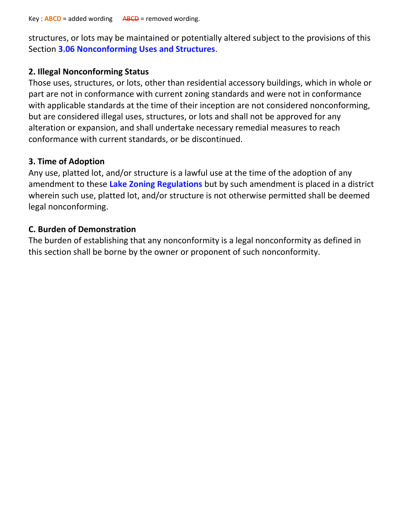structures, or lots may be maintained or potentially altered subject to the provisions of this Section **3.06 Nonconforming Uses and Structures**.

### **2. Illegal Nonconforming Status**

Those uses, structures, or lots, other than residential accessory buildings, which in whole or part are not in conformance with current zoning standards and were not in conformance with applicable standards at the time of their inception are not considered nonconforming, but are considered illegal uses, structures, or lots and shall not be approved for any alteration or expansion, and shall undertake necessary remedial measures to reach conformance with current standards, or be discontinued.

# **3. Time of Adoption**

Any use, platted lot, and/or structure is a lawful use at the time of the adoption of any amendment to these **Lake Zoning Regulations** but by such amendment is placed in a district wherein such use, platted lot, and/or structure is not otherwise permitted shall be deemed legal nonconforming.

# **C. Burden of Demonstration**

The burden of establishing that any nonconformity is a legal nonconformity as defined in this section shall be borne by the owner or proponent of such nonconformity.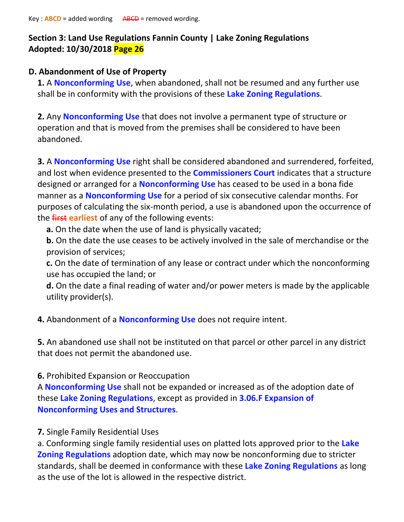# **Section 3: Land Use Regulations Fannin County | Lake Zoning Regulations Adopted: 10/30/2018 Page 26**

### **D. Abandonment of Use of Property**

**1.** A **Nonconforming Use**, when abandoned, shall not be resumed and any further use shall be in conformity with the provisions of these **Lake Zoning Regulations**.

**2.** Any **Nonconforming Use** that does not involve a permanent type of structure or operation and that is moved from the premises shall be considered to have been abandoned.

**3.** A **Nonconforming Use** right shall be considered abandoned and surrendered, forfeited, and lost when evidence presented to the **Commissioners Court** indicates that a structure designed or arranged for a **Nonconforming Use** has ceased to be used in a bona fide manner as a **Nonconforming Use** for a period of six consecutive calendar months. For purposes of calculating the six-month period, a use is abandoned upon the occurrence of the first **earliest** of any of the following events:

**a.** On the date when the use of land is physically vacated;

**b.** On the date the use ceases to be actively involved in the sale of merchandise or the provision of services;

**c.** On the date of termination of any lease or contract under which the nonconforming use has occupied the land; or

**d.** On the date a final reading of water and/or power meters is made by the applicable utility provider(s).

**4.** Abandonment of a **Nonconforming Use** does not require intent.

**5.** An abandoned use shall not be instituted on that parcel or other parcel in any district that does not permit the abandoned use.

### **6.** Prohibited Expansion or Reoccupation

A **Nonconforming Use** shall not be expanded or increased as of the adoption date of these **Lake Zoning Regulations**, except as provided in **3.06.F Expansion of Nonconforming Uses and Structures**.

# **7.** Single Family Residential Uses

a. Conforming single family residential uses on platted lots approved prior to the **Lake Zoning Regulations** adoption date, which may now be nonconforming due to stricter standards, shall be deemed in conformance with these **Lake Zoning Regulations** as long as the use of the lot is allowed in the respective district.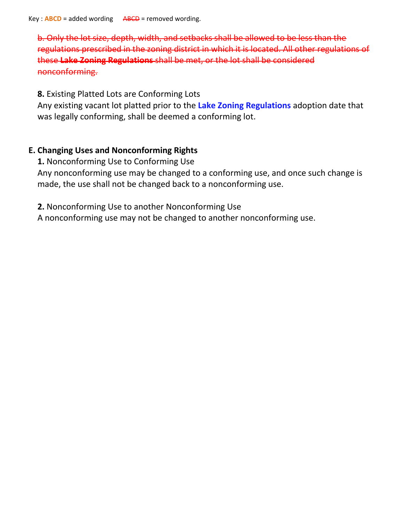b. Only the lot size, depth, width, and setbacks shall be allowed to be less regulations prescribed in the zoning district in which it is located. All other regulations of these **Lake Zoning Regulations** shall be met, or the lot shall be considered nonconforming.

**8.** Existing Platted Lots are Conforming Lots

Any existing vacant lot platted prior to the **Lake Zoning Regulations** adoption date that was legally conforming, shall be deemed a conforming lot.

# **E. Changing Uses and Nonconforming Rights**

**1.** Nonconforming Use to Conforming Use Any nonconforming use may be changed to a conforming use, and once such change is made, the use shall not be changed back to a nonconforming use.

**2.** Nonconforming Use to another Nonconforming Use

A nonconforming use may not be changed to another nonconforming use.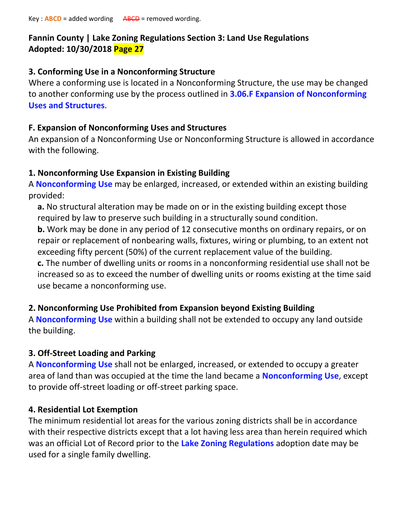# **Fannin County | Lake Zoning Regulations Section 3: Land Use Regulations Adopted: 10/30/2018 Page 27**

# **3. Conforming Use in a Nonconforming Structure**

Where a conforming use is located in a Nonconforming Structure, the use may be changed to another conforming use by the process outlined in **3.06.F Expansion of Nonconforming Uses and Structures**.

# **F. Expansion of Nonconforming Uses and Structures**

An expansion of a Nonconforming Use or Nonconforming Structure is allowed in accordance with the following.

# **1. Nonconforming Use Expansion in Existing Building**

A **Nonconforming Use** may be enlarged, increased, or extended within an existing building provided:

**a.** No structural alteration may be made on or in the existing building except those required by law to preserve such building in a structurally sound condition.

**b.** Work may be done in any period of 12 consecutive months on ordinary repairs, or on repair or replacement of nonbearing walls, fixtures, wiring or plumbing, to an extent not exceeding fifty percent (50%) of the current replacement value of the building.

**c.** The number of dwelling units or rooms in a nonconforming residential use shall not be increased so as to exceed the number of dwelling units or rooms existing at the time said use became a nonconforming use.

# **2. Nonconforming Use Prohibited from Expansion beyond Existing Building**

A **Nonconforming Use** within a building shall not be extended to occupy any land outside the building.

# **3. Off-Street Loading and Parking**

A **Nonconforming Use** shall not be enlarged, increased, or extended to occupy a greater area of land than was occupied at the time the land became a **Nonconforming Use**, except to provide off-street loading or off-street parking space.

# **4. Residential Lot Exemption**

The minimum residential lot areas for the various zoning districts shall be in accordance with their respective districts except that a lot having less area than herein required which was an official Lot of Record prior to the **Lake Zoning Regulations** adoption date may be used for a single family dwelling.